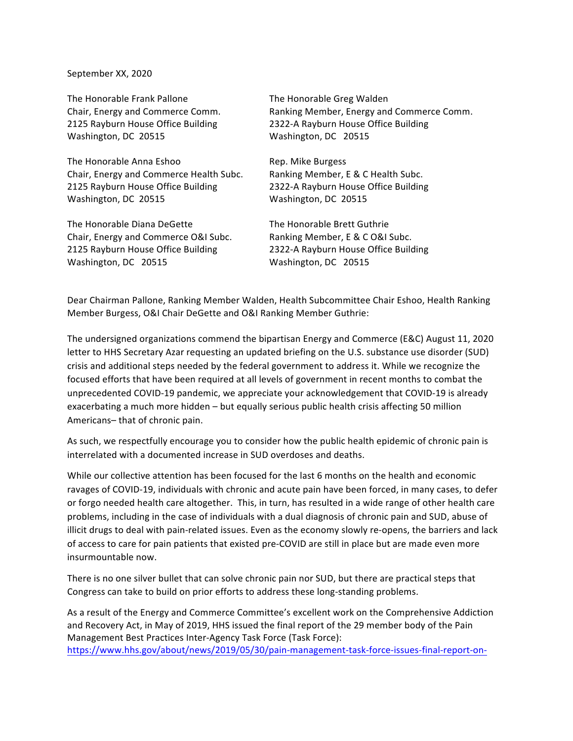## September XX, 2020

The Honorable Frank Pallone **The Honorable Greg Walden** Washington, DC 20515 Washington, DC 20515

The Honorable Anna Eshoo Rep. Mike Burgess Chair, Energy and Commerce Health Subc. Ranking Member, E & C Health Subc. 2125 Rayburn House Office Building 2322-A Rayburn House Office Building Washington, DC 20515 Washington, DC 20515

The Honorable Diana DeGette The Honorable Brett Guthrie Chair, Energy and Commerce O&I Subc. Ranking Member, E & C O&I Subc. 2125 Rayburn House Office Building 2322-A Rayburn House Office Building Washington, DC 20515 Washington, DC 20515

Chair, Energy and Commerce Comm. Banking Member, Energy and Commerce Comm. 2125 Rayburn House Office Building 2322-A Rayburn House Office Building

Dear Chairman Pallone, Ranking Member Walden, Health Subcommittee Chair Eshoo, Health Ranking Member Burgess, O&I Chair DeGette and O&I Ranking Member Guthrie:

The undersigned organizations commend the bipartisan Energy and Commerce (E&C) August 11, 2020 letter to HHS Secretary Azar requesting an updated briefing on the U.S. substance use disorder (SUD) crisis and additional steps needed by the federal government to address it. While we recognize the focused efforts that have been required at all levels of government in recent months to combat the unprecedented COVID-19 pandemic, we appreciate your acknowledgement that COVID-19 is already exacerbating a much more hidden - but equally serious public health crisis affecting 50 million Americans-that of chronic pain.

As such, we respectfully encourage you to consider how the public health epidemic of chronic pain is interrelated with a documented increase in SUD overdoses and deaths.

While our collective attention has been focused for the last 6 months on the health and economic ravages of COVID-19, individuals with chronic and acute pain have been forced, in many cases, to defer or forgo needed health care altogether. This, in turn, has resulted in a wide range of other health care problems, including in the case of individuals with a dual diagnosis of chronic pain and SUD, abuse of illicit drugs to deal with pain-related issues. Even as the economy slowly re-opens, the barriers and lack of access to care for pain patients that existed pre-COVID are still in place but are made even more insurmountable now.

There is no one silver bullet that can solve chronic pain nor SUD, but there are practical steps that Congress can take to build on prior efforts to address these long-standing problems.

As a result of the Energy and Commerce Committee's excellent work on the Comprehensive Addiction and Recovery Act, in May of 2019, HHS issued the final report of the 29 member body of the Pain Management Best Practices Inter-Agency Task Force (Task Force): https://www.hhs.gov/about/news/2019/05/30/pain-management-task-force-issues-final-report-on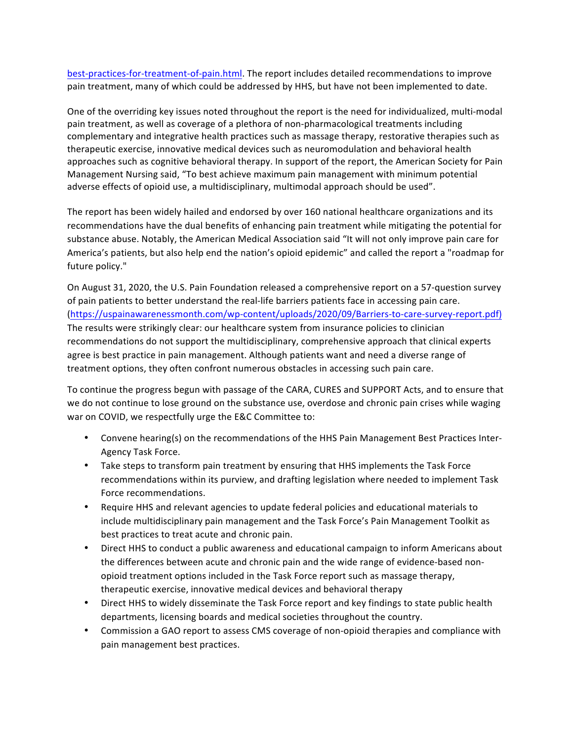best-practices-for-treatment-of-pain.html. The report includes detailed recommendations to improve pain treatment, many of which could be addressed by HHS, but have not been implemented to date.

One of the overriding key issues noted throughout the report is the need for individualized, multi-modal pain treatment, as well as coverage of a plethora of non-pharmacological treatments including complementary and integrative health practices such as massage therapy, restorative therapies such as therapeutic exercise, innovative medical devices such as neuromodulation and behavioral health approaches such as cognitive behavioral therapy. In support of the report, the American Society for Pain Management Nursing said, "To best achieve maximum pain management with minimum potential adverse effects of opioid use, a multidisciplinary, multimodal approach should be used".

The report has been widely hailed and endorsed by over 160 national healthcare organizations and its recommendations have the dual benefits of enhancing pain treatment while mitigating the potential for substance abuse. Notably, the American Medical Association said "It will not only improve pain care for America's patients, but also help end the nation's opioid epidemic" and called the report a "roadmap for future policy."

On August 31, 2020, the U.S. Pain Foundation released a comprehensive report on a 57-question survey of pain patients to better understand the real-life barriers patients face in accessing pain care. (https://uspainawarenessmonth.com/wp-content/uploads/2020/09/Barriers-to-care-survey-report.pdf) The results were strikingly clear: our healthcare system from insurance policies to clinician recommendations do not support the multidisciplinary, comprehensive approach that clinical experts agree is best practice in pain management. Although patients want and need a diverse range of treatment options, they often confront numerous obstacles in accessing such pain care.

To continue the progress begun with passage of the CARA, CURES and SUPPORT Acts, and to ensure that we do not continue to lose ground on the substance use, overdose and chronic pain crises while waging war on COVID, we respectfully urge the E&C Committee to:

- Convene hearing(s) on the recommendations of the HHS Pain Management Best Practices Inter-Agency Task Force.
- Take steps to transform pain treatment by ensuring that HHS implements the Task Force recommendations within its purview, and drafting legislation where needed to implement Task Force recommendations.
- Require HHS and relevant agencies to update federal policies and educational materials to include multidisciplinary pain management and the Task Force's Pain Management Toolkit as best practices to treat acute and chronic pain.
- Direct HHS to conduct a public awareness and educational campaign to inform Americans about the differences between acute and chronic pain and the wide range of evidence-based nonopioid treatment options included in the Task Force report such as massage therapy, therapeutic exercise, innovative medical devices and behavioral therapy
- Direct HHS to widely disseminate the Task Force report and key findings to state public health departments, licensing boards and medical societies throughout the country.
- Commission a GAO report to assess CMS coverage of non-opioid therapies and compliance with pain management best practices.